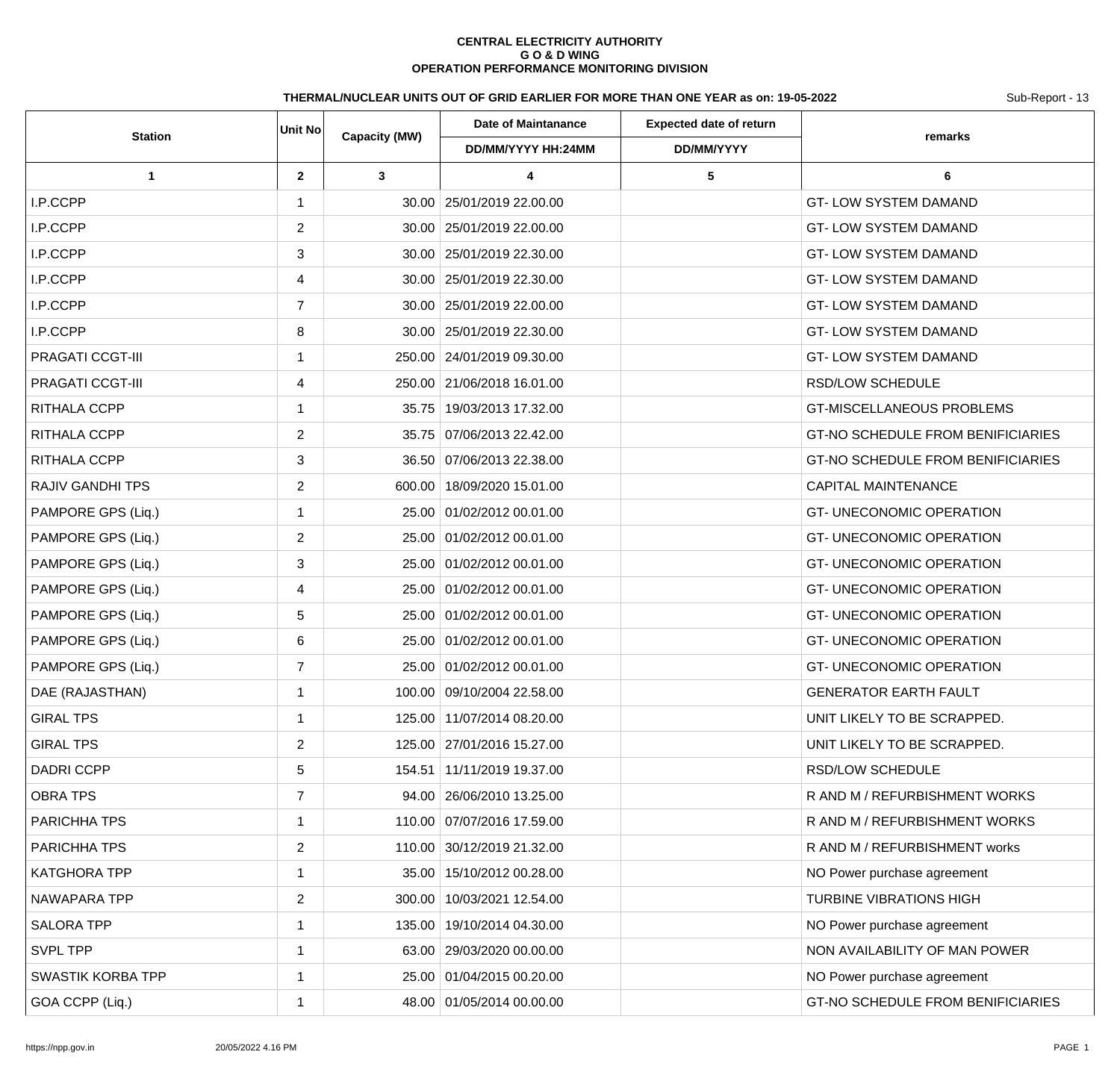## **CENTRAL ELECTRICITY AUTHORITY G O & D WING OPERATION PERFORMANCE MONITORING DIVISION**

## THERMAL/NUCLEAR UNITS OUT OF GRID EARLIER FOR MORE THAN ONE YEAR as on: 19-05-2022 Sub-Report - 13

| <b>Station</b>           | <b>Unit No</b> | <b>Capacity (MW)</b> | <b>Date of Maintanance</b>   | <b>Expected date of return</b> | remarks                                  |
|--------------------------|----------------|----------------------|------------------------------|--------------------------------|------------------------------------------|
|                          |                |                      | DD/MM/YYYY HH:24MM           | DD/MM/YYYY                     |                                          |
| $\mathbf 1$              | $\mathbf{2}$   | 3                    | 4                            | 5                              | 6                                        |
| I.P.CCPP                 |                |                      | 30.00 25/01/2019 22.00.00    |                                | <b>GT-LOW SYSTEM DAMAND</b>              |
| I.P.CCPP                 | 2              |                      | 30.00   25/01/2019 22.00.00  |                                | <b>GT-LOW SYSTEM DAMAND</b>              |
| I.P.CCPP                 | 3              |                      | 30.00 25/01/2019 22.30.00    |                                | <b>GT-LOW SYSTEM DAMAND</b>              |
| I.P.CCPP                 | 4              |                      | 30.00 25/01/2019 22.30.00    |                                | <b>GT-LOW SYSTEM DAMAND</b>              |
| I.P.CCPP                 | $\overline{7}$ |                      | 30.00   25/01/2019 22.00.00  |                                | <b>GT-LOW SYSTEM DAMAND</b>              |
| I.P.CCPP                 | 8              |                      | 30.00   25/01/2019 22.30.00  |                                | <b>GT-LOW SYSTEM DAMAND</b>              |
| PRAGATI CCGT-III         |                |                      | 250.00 24/01/2019 09.30.00   |                                | <b>GT-LOW SYSTEM DAMAND</b>              |
| PRAGATI CCGT-III         | 4              |                      | 250.00 21/06/2018 16.01.00   |                                | <b>RSD/LOW SCHEDULE</b>                  |
| RITHALA CCPP             | $\mathbf 1$    |                      | 35.75   19/03/2013 17.32.00  |                                | <b>GT-MISCELLANEOUS PROBLEMS</b>         |
| RITHALA CCPP             | $\overline{2}$ |                      | 35.75 07/06/2013 22.42.00    |                                | <b>GT-NO SCHEDULE FROM BENIFICIARIES</b> |
| RITHALA CCPP             | 3              |                      | 36.50 07/06/2013 22.38.00    |                                | <b>GT-NO SCHEDULE FROM BENIFICIARIES</b> |
| <b>RAJIV GANDHI TPS</b>  | $\overline{2}$ |                      | 600.00 18/09/2020 15.01.00   |                                | <b>CAPITAL MAINTENANCE</b>               |
| PAMPORE GPS (Liq.)       |                |                      | 25.00 01/02/2012 00.01.00    |                                | <b>GT-UNECONOMIC OPERATION</b>           |
| PAMPORE GPS (Liq.)       | $\overline{2}$ |                      | 25.00 01/02/2012 00.01.00    |                                | <b>GT-UNECONOMIC OPERATION</b>           |
| PAMPORE GPS (Liq.)       | 3              |                      | 25.00 01/02/2012 00.01.00    |                                | <b>GT-UNECONOMIC OPERATION</b>           |
| PAMPORE GPS (Liq.)       | 4              |                      | 25.00 01/02/2012 00.01.00    |                                | <b>GT-UNECONOMIC OPERATION</b>           |
| PAMPORE GPS (Liq.)       | 5              |                      | 25.00 01/02/2012 00.01.00    |                                | <b>GT-UNECONOMIC OPERATION</b>           |
| PAMPORE GPS (Liq.)       | 6              |                      | 25.00 01/02/2012 00.01.00    |                                | <b>GT-UNECONOMIC OPERATION</b>           |
| PAMPORE GPS (Liq.)       | 7              |                      | 25.00 01/02/2012 00.01.00    |                                | <b>GT-UNECONOMIC OPERATION</b>           |
| DAE (RAJASTHAN)          | 1              |                      | 100.00 09/10/2004 22.58.00   |                                | <b>GENERATOR EARTH FAULT</b>             |
| <b>GIRAL TPS</b>         | $\mathbf 1$    |                      | 125.00 11/07/2014 08.20.00   |                                | UNIT LIKELY TO BE SCRAPPED.              |
| <b>GIRAL TPS</b>         | $\overline{2}$ |                      | 125.00 27/01/2016 15.27.00   |                                | UNIT LIKELY TO BE SCRAPPED.              |
| <b>DADRI CCPP</b>        | 5              |                      | 154.51 11/11/2019 19.37.00   |                                | RSD/LOW SCHEDULE                         |
| <b>OBRA TPS</b>          | $\overline{7}$ |                      | 94.00   26/06/2010 13.25.00  |                                | R AND M / REFURBISHMENT WORKS            |
| PARICHHA TPS             | 1              |                      | 110.00 07/07/2016 17.59.00   |                                | R AND M / REFURBISHMENT WORKS            |
| PARICHHA TPS             | $\overline{2}$ |                      | 110.00 30/12/2019 21.32.00   |                                | R AND M / REFURBISHMENT works            |
| <b>KATGHORA TPP</b>      | $\mathbf 1$    |                      | 35.00 15/10/2012 00.28.00    |                                | NO Power purchase agreement              |
| NAWAPARA TPP             | $\overline{2}$ |                      | 300.00   10/03/2021 12.54.00 |                                | <b>TURBINE VIBRATIONS HIGH</b>           |
| <b>SALORA TPP</b>        |                |                      | 135.00 19/10/2014 04.30.00   |                                | NO Power purchase agreement              |
| <b>SVPL TPP</b>          | 1              |                      | 63.00 29/03/2020 00.00.00    |                                | NON AVAILABILITY OF MAN POWER            |
| <b>SWASTIK KORBA TPP</b> |                |                      | 25.00 01/04/2015 00.20.00    |                                | NO Power purchase agreement              |
| GOA CCPP (Liq.)          |                |                      | 48.00 01/05/2014 00.00.00    |                                | GT-NO SCHEDULE FROM BENIFICIARIES        |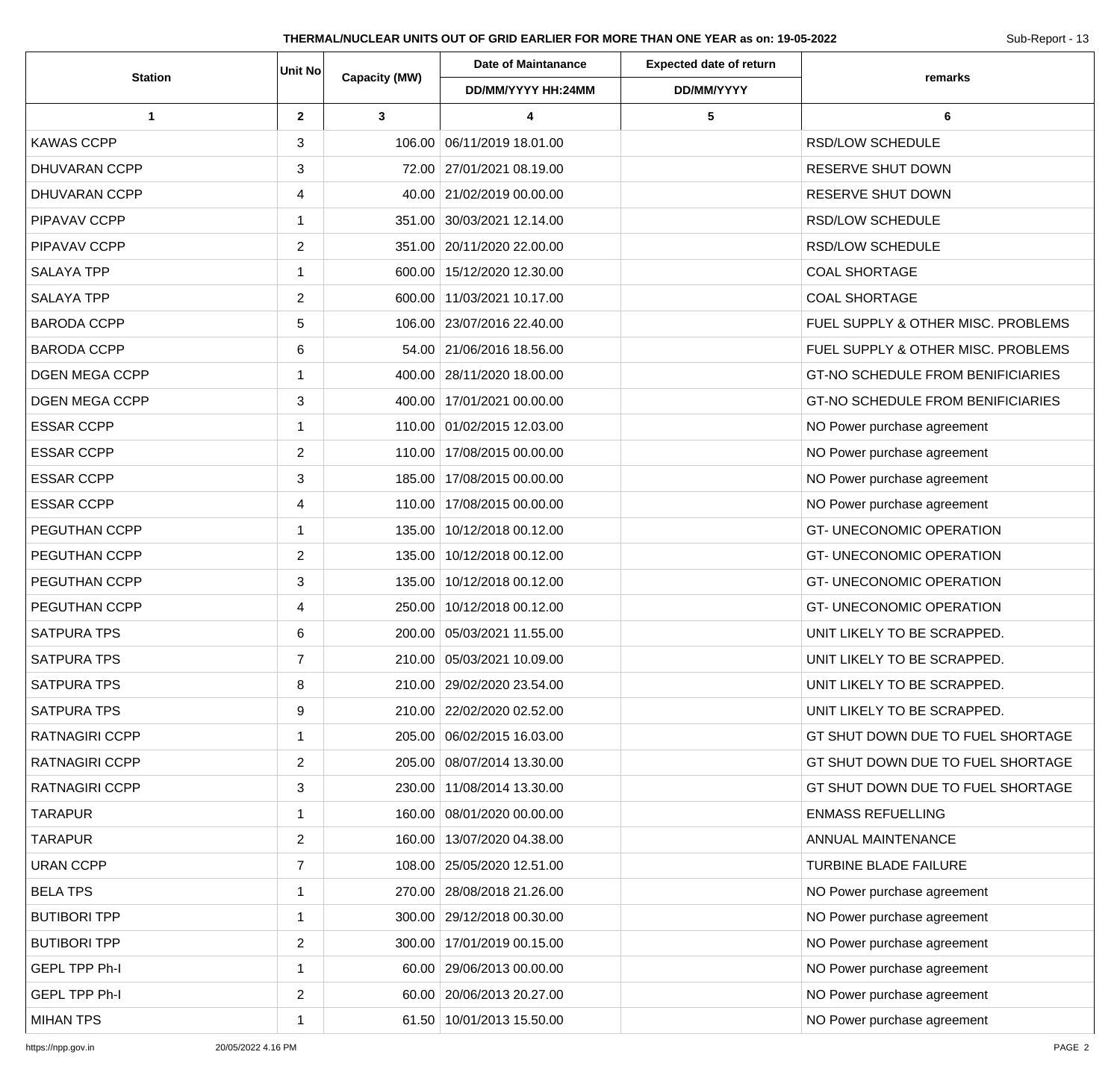| <b>Station</b>        | Unit No        | Capacity (MW) | <b>Date of Maintanance</b>   | <b>Expected date of return</b> | remarks                                  |
|-----------------------|----------------|---------------|------------------------------|--------------------------------|------------------------------------------|
|                       |                |               | DD/MM/YYYY HH:24MM           | DD/MM/YYYY                     |                                          |
| 1                     | $\mathbf{2}$   | $\mathbf{3}$  | 4                            | $5\phantom{.0}$                | 6                                        |
| <b>KAWAS CCPP</b>     | 3              |               | 106.00 06/11/2019 18.01.00   |                                | <b>RSD/LOW SCHEDULE</b>                  |
| DHUVARAN CCPP         | 3              |               | 72.00 27/01/2021 08.19.00    |                                | RESERVE SHUT DOWN                        |
| <b>DHUVARAN CCPP</b>  | 4              |               | 40.00 21/02/2019 00.00.00    |                                | RESERVE SHUT DOWN                        |
| PIPAVAV CCPP          | 1              |               | 351.00 30/03/2021 12.14.00   |                                | <b>RSD/LOW SCHEDULE</b>                  |
| PIPAVAV CCPP          | 2              |               | 351.00 20/11/2020 22.00.00   |                                | <b>RSD/LOW SCHEDULE</b>                  |
| <b>SALAYA TPP</b>     | 1              |               | 600.00 15/12/2020 12.30.00   |                                | <b>COAL SHORTAGE</b>                     |
| <b>SALAYA TPP</b>     | 2              |               | 600.00 11/03/2021 10.17.00   |                                | <b>COAL SHORTAGE</b>                     |
| <b>BARODA CCPP</b>    | 5              |               | 106.00 23/07/2016 22.40.00   |                                | FUEL SUPPLY & OTHER MISC. PROBLEMS       |
| <b>BARODA CCPP</b>    | 6              |               | 54.00 21/06/2016 18.56.00    |                                | FUEL SUPPLY & OTHER MISC. PROBLEMS       |
| <b>DGEN MEGA CCPP</b> | 1              |               | 400.00   28/11/2020 18.00.00 |                                | GT-NO SCHEDULE FROM BENIFICIARIES        |
| <b>DGEN MEGA CCPP</b> | 3              |               | 400.00 17/01/2021 00.00.00   |                                | <b>GT-NO SCHEDULE FROM BENIFICIARIES</b> |
| <b>ESSAR CCPP</b>     | $\mathbf{1}$   |               | 110.00 01/02/2015 12.03.00   |                                | NO Power purchase agreement              |
| <b>ESSAR CCPP</b>     | 2              |               | 110.00 17/08/2015 00.00.00   |                                | NO Power purchase agreement              |
| <b>ESSAR CCPP</b>     | 3              |               | 185.00 17/08/2015 00.00.00   |                                | NO Power purchase agreement              |
| <b>ESSAR CCPP</b>     | 4              |               | 110.00 17/08/2015 00.00.00   |                                | NO Power purchase agreement              |
| PEGUTHAN CCPP         | 1              |               | 135.00 10/12/2018 00.12.00   |                                | <b>GT-UNECONOMIC OPERATION</b>           |
| PEGUTHAN CCPP         | 2              |               | 135.00 10/12/2018 00.12.00   |                                | <b>GT-UNECONOMIC OPERATION</b>           |
| PEGUTHAN CCPP         | 3              |               | 135.00 10/12/2018 00.12.00   |                                | <b>GT- UNECONOMIC OPERATION</b>          |
| PEGUTHAN CCPP         | 4              |               | 250.00 10/12/2018 00.12.00   |                                | <b>GT- UNECONOMIC OPERATION</b>          |
| <b>SATPURA TPS</b>    | 6              |               | 200.00 05/03/2021 11.55.00   |                                | UNIT LIKELY TO BE SCRAPPED.              |
| <b>SATPURA TPS</b>    | $\overline{7}$ |               | 210.00 05/03/2021 10.09.00   |                                | UNIT LIKELY TO BE SCRAPPED.              |
| <b>SATPURA TPS</b>    | 8              |               | 210.00   29/02/2020 23.54.00 |                                | UNIT LIKELY TO BE SCRAPPED.              |
| SATPURA TPS           | 9              |               | 210.00   22/02/2020 02.52.00 |                                | UNIT LIKELY TO BE SCRAPPED.              |
| RATNAGIRI CCPP        | $\mathbf{1}$   |               | 205.00 06/02/2015 16.03.00   |                                | GT SHUT DOWN DUE TO FUEL SHORTAGE        |
| <b>RATNAGIRI CCPP</b> | 2              |               | 205.00 08/07/2014 13.30.00   |                                | GT SHUT DOWN DUE TO FUEL SHORTAGE        |
| <b>RATNAGIRI CCPP</b> | 3              |               | 230.00 11/08/2014 13.30.00   |                                | GT SHUT DOWN DUE TO FUEL SHORTAGE        |
| <b>TARAPUR</b>        | 1              |               | 160.00 08/01/2020 00.00.00   |                                | <b>ENMASS REFUELLING</b>                 |
| <b>TARAPUR</b>        | 2              |               | 160.00   13/07/2020 04.38.00 |                                | ANNUAL MAINTENANCE                       |
| <b>URAN CCPP</b>      | $\overline{7}$ |               | 108.00   25/05/2020 12.51.00 |                                | TURBINE BLADE FAILURE                    |
| <b>BELA TPS</b>       | 1              |               | 270.00 28/08/2018 21.26.00   |                                | NO Power purchase agreement              |
| <b>BUTIBORI TPP</b>   | 1              |               | 300.00   29/12/2018 00.30.00 |                                | NO Power purchase agreement              |
| <b>BUTIBORI TPP</b>   | 2              |               | 300.00   17/01/2019 00.15.00 |                                | NO Power purchase agreement              |
| <b>GEPL TPP Ph-I</b>  | $\mathbf{1}$   |               | 60.00 29/06/2013 00.00.00    |                                | NO Power purchase agreement              |
| <b>GEPL TPP Ph-I</b>  | 2              |               | 60.00   20/06/2013 20.27.00  |                                | NO Power purchase agreement              |
| <b>MIHAN TPS</b>      |                |               | 61.50 10/01/2013 15.50.00    |                                | NO Power purchase agreement              |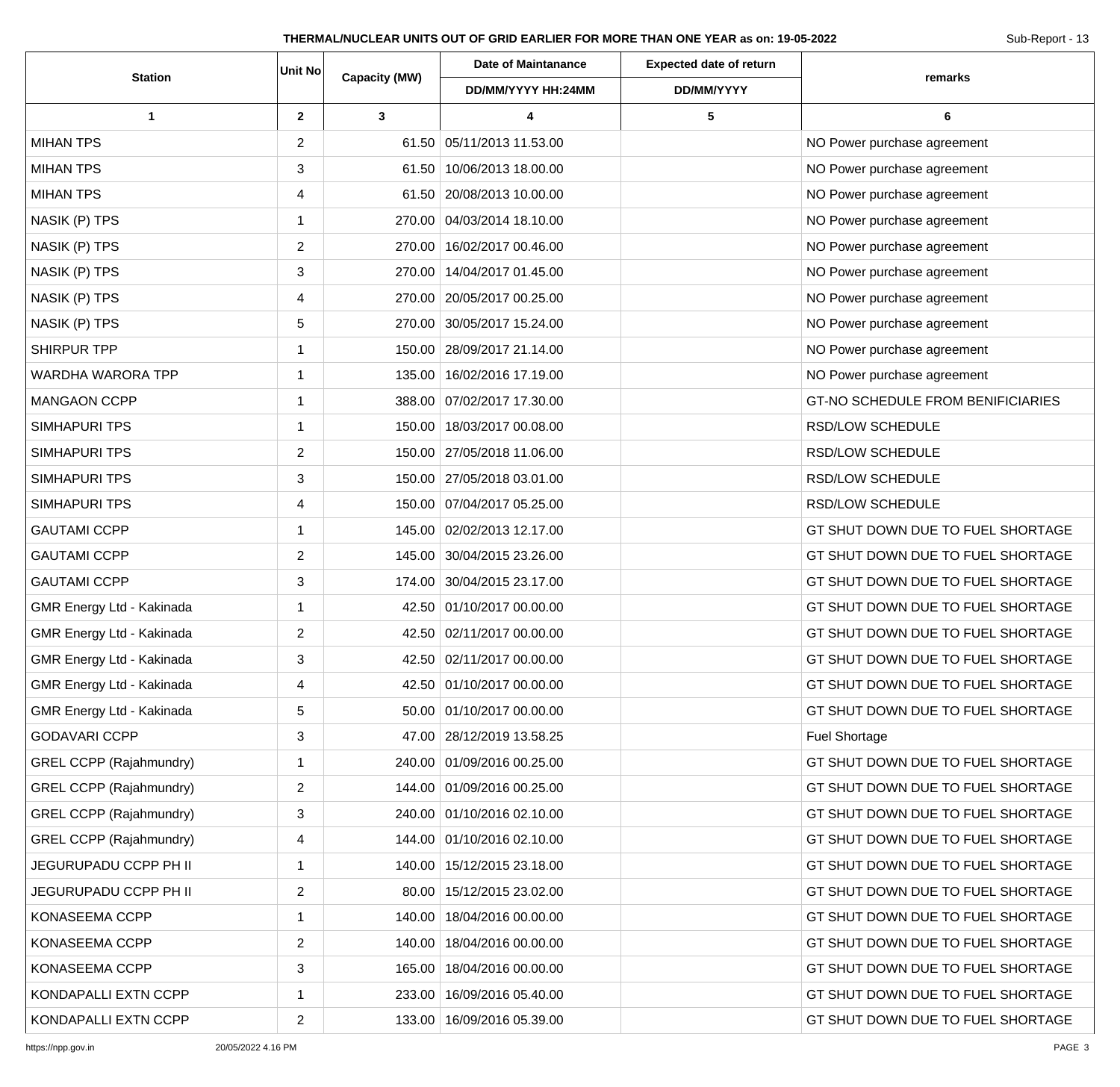| <b>Station</b>                 | Unit No        | Capacity (MW) | <b>Date of Maintanance</b>   | <b>Expected date of return</b> | remarks                           |
|--------------------------------|----------------|---------------|------------------------------|--------------------------------|-----------------------------------|
|                                |                |               | DD/MM/YYYY HH:24MM           | DD/MM/YYYY                     |                                   |
| 1                              | $\overline{2}$ | 3             | 4                            | 5                              | 6                                 |
| <b>MIHAN TPS</b>               | $\overline{2}$ |               | 61.50 05/11/2013 11.53.00    |                                | NO Power purchase agreement       |
| <b>MIHAN TPS</b>               | 3              |               | 61.50 10/06/2013 18.00.00    |                                | NO Power purchase agreement       |
| <b>MIHAN TPS</b>               | 4              |               | 61.50 20/08/2013 10.00.00    |                                | NO Power purchase agreement       |
| NASIK (P) TPS                  | $\mathbf 1$    |               | 270.00 04/03/2014 18.10.00   |                                | NO Power purchase agreement       |
| NASIK (P) TPS                  | 2              |               | 270.00 16/02/2017 00.46.00   |                                | NO Power purchase agreement       |
| NASIK (P) TPS                  | 3              |               | 270.00 14/04/2017 01.45.00   |                                | NO Power purchase agreement       |
| NASIK (P) TPS                  | 4              |               | 270.00 20/05/2017 00.25.00   |                                | NO Power purchase agreement       |
| NASIK (P) TPS                  | 5              |               | 270.00 30/05/2017 15.24.00   |                                | NO Power purchase agreement       |
| SHIRPUR TPP                    | $\mathbf 1$    |               | 150.00 28/09/2017 21.14.00   |                                | NO Power purchase agreement       |
| <b>WARDHA WARORA TPP</b>       | 1              |               | 135.00   16/02/2016 17.19.00 |                                | NO Power purchase agreement       |
| <b>MANGAON CCPP</b>            | 1              |               | 388.00 07/02/2017 17.30.00   |                                | GT-NO SCHEDULE FROM BENIFICIARIES |
| <b>SIMHAPURI TPS</b>           | $\mathbf{1}$   |               | 150.00 18/03/2017 00.08.00   |                                | RSD/LOW SCHEDULE                  |
| SIMHAPURI TPS                  | $\overline{2}$ |               | 150.00   27/05/2018 11.06.00 |                                | RSD/LOW SCHEDULE                  |
| <b>SIMHAPURI TPS</b>           | 3              |               | 150.00 27/05/2018 03.01.00   |                                | RSD/LOW SCHEDULE                  |
| SIMHAPURI TPS                  | 4              |               | 150.00 07/04/2017 05.25.00   |                                | RSD/LOW SCHEDULE                  |
| <b>GAUTAMI CCPP</b>            | 1              |               | 145.00 02/02/2013 12.17.00   |                                | GT SHUT DOWN DUE TO FUEL SHORTAGE |
| <b>GAUTAMI CCPP</b>            | 2              |               | 145.00 30/04/2015 23.26.00   |                                | GT SHUT DOWN DUE TO FUEL SHORTAGE |
| <b>GAUTAMI CCPP</b>            | 3              |               | 174.00 30/04/2015 23.17.00   |                                | GT SHUT DOWN DUE TO FUEL SHORTAGE |
| GMR Energy Ltd - Kakinada      | 1              |               | 42.50 01/10/2017 00.00.00    |                                | GT SHUT DOWN DUE TO FUEL SHORTAGE |
| GMR Energy Ltd - Kakinada      | 2              |               | 42.50 02/11/2017 00.00.00    |                                | GT SHUT DOWN DUE TO FUEL SHORTAGE |
| GMR Energy Ltd - Kakinada      | 3              |               | 42.50 02/11/2017 00.00.00    |                                | GT SHUT DOWN DUE TO FUEL SHORTAGE |
| GMR Energy Ltd - Kakinada      | 4              |               | 42.50 01/10/2017 00.00.00    |                                | GT SHUT DOWN DUE TO FUEL SHORTAGE |
| GMR Energy Ltd - Kakinada      | 5              |               | 50.00 01/10/2017 00.00.00    |                                | GT SHUT DOWN DUE TO FUEL SHORTAGE |
| <b>GODAVARI CCPP</b>           | 3              |               | 47.00 28/12/2019 13.58.25    |                                | <b>Fuel Shortage</b>              |
| GREL CCPP (Rajahmundry)        | $\mathbf{1}$   |               | 240.00 01/09/2016 00.25.00   |                                | GT SHUT DOWN DUE TO FUEL SHORTAGE |
| <b>GREL CCPP (Rajahmundry)</b> | $\overline{2}$ |               | 144.00 01/09/2016 00.25.00   |                                | GT SHUT DOWN DUE TO FUEL SHORTAGE |
| <b>GREL CCPP (Rajahmundry)</b> | 3              |               | 240.00 01/10/2016 02.10.00   |                                | GT SHUT DOWN DUE TO FUEL SHORTAGE |
| <b>GREL CCPP (Rajahmundry)</b> | 4              |               | 144.00 01/10/2016 02.10.00   |                                | GT SHUT DOWN DUE TO FUEL SHORTAGE |
| JEGURUPADU CCPP PH II          | 1              |               | 140.00 15/12/2015 23.18.00   |                                | GT SHUT DOWN DUE TO FUEL SHORTAGE |
| JEGURUPADU CCPP PH II          | $\overline{2}$ |               | 80.00 15/12/2015 23.02.00    |                                | GT SHUT DOWN DUE TO FUEL SHORTAGE |
| KONASEEMA CCPP                 | $\mathbf 1$    |               | 140.00 18/04/2016 00.00.00   |                                | GT SHUT DOWN DUE TO FUEL SHORTAGE |
| KONASEEMA CCPP                 | 2              |               | 140.00 18/04/2016 00.00.00   |                                | GT SHUT DOWN DUE TO FUEL SHORTAGE |
| KONASEEMA CCPP                 | 3              |               | 165.00   18/04/2016 00.00.00 |                                | GT SHUT DOWN DUE TO FUEL SHORTAGE |
| KONDAPALLI EXTN CCPP           | $\mathbf{1}$   |               | 233.00 16/09/2016 05.40.00   |                                | GT SHUT DOWN DUE TO FUEL SHORTAGE |
| KONDAPALLI EXTN CCPP           | $\overline{2}$ |               | 133.00   16/09/2016 05.39.00 |                                | GT SHUT DOWN DUE TO FUEL SHORTAGE |